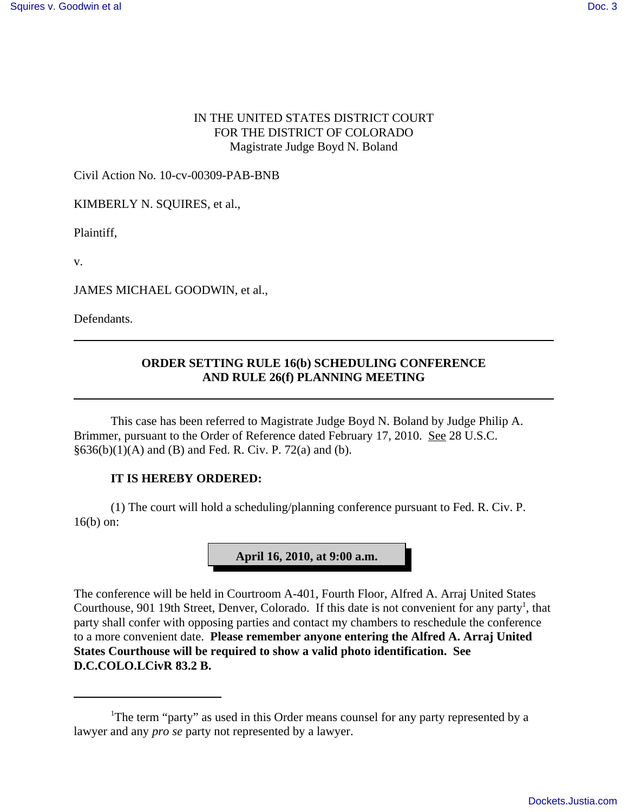## IN THE UNITED STATES DISTRICT COURT FOR THE DISTRICT OF COLORADO Magistrate Judge Boyd N. Boland

Civil Action No. 10-cv-00309-PAB-BNB

KIMBERLY N. SQUIRES, et al.,

Plaintiff,

v.

JAMES MICHAEL GOODWIN, et al.,

Defendants.

## **ORDER SETTING RULE 16(b) SCHEDULING CONFERENCE AND RULE 26(f) PLANNING MEETING**

This case has been referred to Magistrate Judge Boyd N. Boland by Judge Philip A. Brimmer, pursuant to the Order of Reference dated February 17, 2010. See 28 U.S.C.  $§636(b)(1)(A)$  and (B) and Fed. R. Civ. P. 72(a) and (b).

## **IT IS HEREBY ORDERED:**

(1) The court will hold a scheduling/planning conference pursuant to Fed. R. Civ. P. 16(b) on:



The conference will be held in Courtroom A-401, Fourth Floor, Alfred A. Arraj United States Courthouse, 901 19th Street, Denver, Colorado. If this date is not convenient for any party<sup>1</sup>, that party shall confer with opposing parties and contact my chambers to reschedule the conference to a more convenient date. **Please remember anyone entering the Alfred A. Arraj United States Courthouse will be required to show a valid photo identification. See D.C.COLO.LCivR 83.2 B.**

<sup>&</sup>lt;sup>1</sup>The term "party" as used in this Order means counsel for any party represented by a lawyer and any *pro se* party not represented by a lawyer.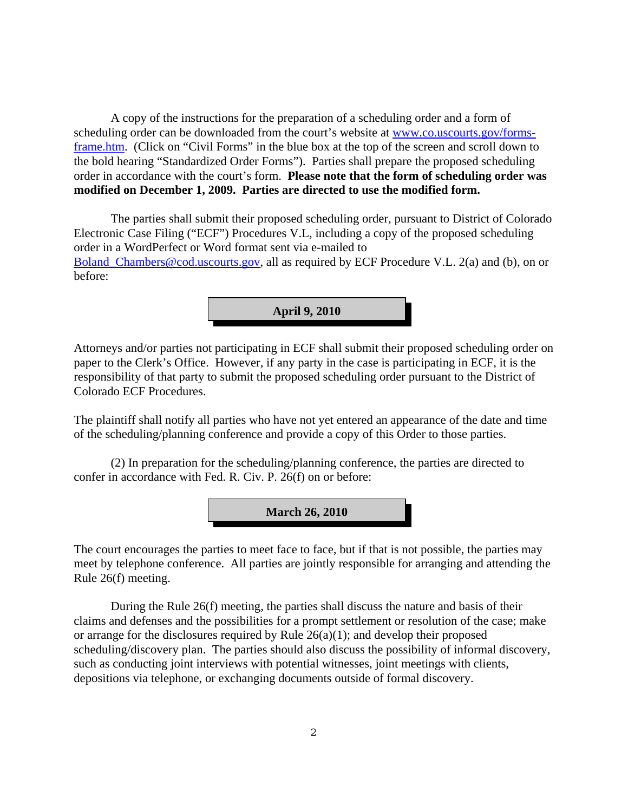A copy of the instructions for the preparation of a scheduling order and a form of scheduling order can be downloaded from the court's website at www.co.uscourts.gov/formsframe.htm. (Click on "Civil Forms" in the blue box at the top of the screen and scroll down to the bold hearing "Standardized Order Forms"). Parties shall prepare the proposed scheduling order in accordance with the court's form. **Please note that the form of scheduling order was modified on December 1, 2009. Parties are directed to use the modified form.**

The parties shall submit their proposed scheduling order, pursuant to District of Colorado Electronic Case Filing ("ECF") Procedures V.L, including a copy of the proposed scheduling order in a WordPerfect or Word format sent via e-mailed to Boland Chambers@cod.uscourts.gov, all as required by ECF Procedure V.L. 2(a) and (b), on or before:



Attorneys and/or parties not participating in ECF shall submit their proposed scheduling order on paper to the Clerk's Office. However, if any party in the case is participating in ECF, it is the responsibility of that party to submit the proposed scheduling order pursuant to the District of Colorado ECF Procedures.

The plaintiff shall notify all parties who have not yet entered an appearance of the date and time of the scheduling/planning conference and provide a copy of this Order to those parties.

(2) In preparation for the scheduling/planning conference, the parties are directed to confer in accordance with Fed. R. Civ. P. 26(f) on or before:



The court encourages the parties to meet face to face, but if that is not possible, the parties may meet by telephone conference. All parties are jointly responsible for arranging and attending the Rule 26(f) meeting.

During the Rule 26(f) meeting, the parties shall discuss the nature and basis of their claims and defenses and the possibilities for a prompt settlement or resolution of the case; make or arrange for the disclosures required by Rule 26(a)(1); and develop their proposed scheduling/discovery plan. The parties should also discuss the possibility of informal discovery, such as conducting joint interviews with potential witnesses, joint meetings with clients, depositions via telephone, or exchanging documents outside of formal discovery.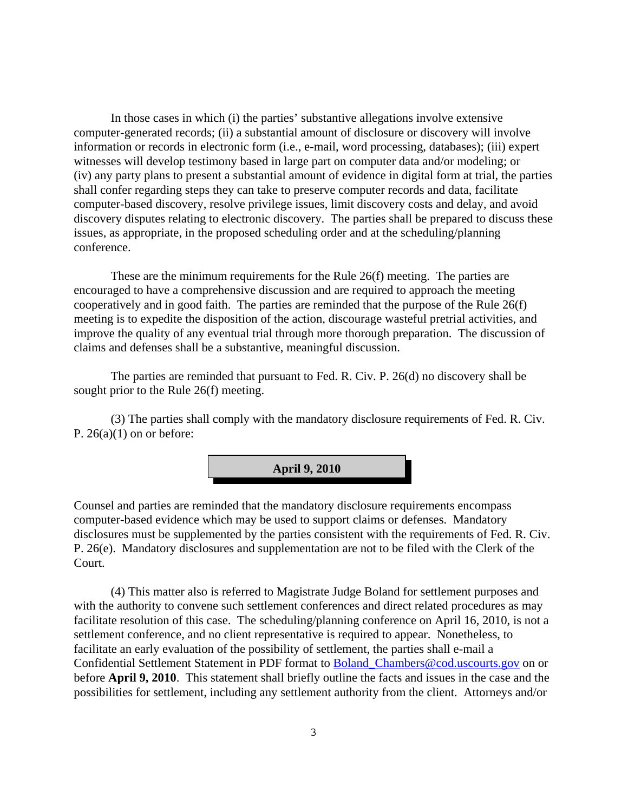In those cases in which (i) the parties' substantive allegations involve extensive computer-generated records; (ii) a substantial amount of disclosure or discovery will involve information or records in electronic form (i.e., e-mail, word processing, databases); (iii) expert witnesses will develop testimony based in large part on computer data and/or modeling; or (iv) any party plans to present a substantial amount of evidence in digital form at trial, the parties shall confer regarding steps they can take to preserve computer records and data, facilitate computer-based discovery, resolve privilege issues, limit discovery costs and delay, and avoid discovery disputes relating to electronic discovery. The parties shall be prepared to discuss these issues, as appropriate, in the proposed scheduling order and at the scheduling/planning conference.

These are the minimum requirements for the Rule 26(f) meeting. The parties are encouraged to have a comprehensive discussion and are required to approach the meeting cooperatively and in good faith. The parties are reminded that the purpose of the Rule 26(f) meeting is to expedite the disposition of the action, discourage wasteful pretrial activities, and improve the quality of any eventual trial through more thorough preparation. The discussion of claims and defenses shall be a substantive, meaningful discussion.

The parties are reminded that pursuant to Fed. R. Civ. P. 26(d) no discovery shall be sought prior to the Rule 26(f) meeting.

(3) The parties shall comply with the mandatory disclosure requirements of Fed. R. Civ. P.  $26(a)(1)$  on or before:



Counsel and parties are reminded that the mandatory disclosure requirements encompass computer-based evidence which may be used to support claims or defenses. Mandatory disclosures must be supplemented by the parties consistent with the requirements of Fed. R. Civ. P. 26(e). Mandatory disclosures and supplementation are not to be filed with the Clerk of the Court.

(4) This matter also is referred to Magistrate Judge Boland for settlement purposes and with the authority to convene such settlement conferences and direct related procedures as may facilitate resolution of this case. The scheduling/planning conference on April 16, 2010, is not a settlement conference, and no client representative is required to appear. Nonetheless, to facilitate an early evaluation of the possibility of settlement, the parties shall e-mail a Confidential Settlement Statement in PDF format to Boland\_Chambers@cod.uscourts.gov on or before **April 9, 2010**. This statement shall briefly outline the facts and issues in the case and the possibilities for settlement, including any settlement authority from the client. Attorneys and/or